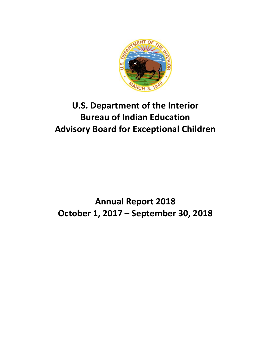

# **U.S. Department of the Interior Bureau of Indian Education Advisory Board for Exceptional Children**

# **Annual Report 2018 October 1, 2017 – September 30, 2018**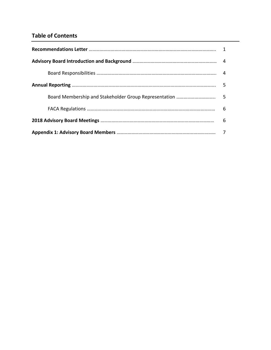## **Table of Contents**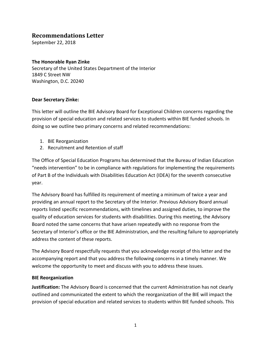### **Recommendations Letter**

September 22, 2018

#### **The Honorable Ryan Zinke**

Secretary of the United States Department of the Interior 1849 C Street NW Washington, D.C. 20240

#### **Dear Secretary Zinke:**

This letter will outline the BIE Advisory Board for Exceptional Children concerns regarding the provision of special education and related services to students within BIE funded schools. In doing so we outline two primary concerns and related recommendations:

- 1. BIE Reorganization
- 2. Recruitment and Retention of staff

The Office of Special Education Programs has determined that the Bureau of Indian Education "needs intervention" to be in compliance with regulations for implementing the requirements of Part B of the Individuals with Disabilities Education Act (IDEA) for the seventh consecutive year.

The Advisory Board has fulfilled its requirement of meeting a minimum of twice a year and providing an annual report to the Secretary of the Interior. Previous Advisory Board annual reports listed specific recommendations, with timelines and assigned duties, to improve the quality of education services for students with disabilities. During this meeting, the Advisory Board noted the same concerns that have arisen repeatedly with no response from the Secretary of Interior's office or the BIE Administration, and the resulting failure to appropriately address the content of these reports.

The Advisory Board respectfully requests that you acknowledge receipt of this letter and the accompanying report and that you address the following concerns in a timely manner. We welcome the opportunity to meet and discuss with you to address these issues.

#### **BIE Reorganization**

**Justification:** The Advisory Board is concerned that the current Administration has not clearly outlined and communicated the extent to which the reorganization of the BIE will impact the provision of special education and related services to students within BIE funded schools. This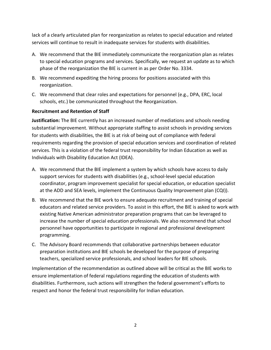lack of a clearly articulated plan for reorganization as relates to special education and related services will continue to result in inadequate services for students with disabilities.

- A. We recommend that the BIE immediately communicate the reorganization plan as relates to special education programs and services. Specifically, we request an update as to which phase of the reorganization the BIE is current in as per Order No. 3334.
- B. We recommend expediting the hiring process for positions associated with this reorganization.
- C. We recommend that clear roles and expectations for personnel (e.g., DPA, ERC, local schools, etc.) be communicated throughout the Reorganization.

#### **Recruitment and Retention of Staff**

**Justification:** The BIE currently has an increased number of mediations and schools needing substantial improvement. Without appropriate staffing to assist schools in providing services for students with disabilities, the BIE is at risk of being out of compliance with federal requirements regarding the provision of special education services and coordination of related services. This is a violation of the federal trust responsibility for Indian Education as well as Individuals with Disability Education Act (IDEA).

- A. We recommend that the BIE implement a system by which schools have access to daily support services for students with disabilities (e.g., school-level special education coordinator, program improvement specialist for special education, or education specialist at the ADD and SEA levels, implement the Continuous Quality Improvement plan (CQI)).
- B. We recommend that the BIE work to ensure adequate recruitment and training of special educators and related service providers. To assist in this effort, the BIE is asked to work with existing Native American administrator preparation programs that can be leveraged to increase the number of special education professionals. We also recommend that school personnel have opportunities to participate in regional and professional development programming.
- C. The Advisory Board recommends that collaborative partnerships between educator preparation institutions and BIE schools be developed for the purpose of preparing teachers, specialized service professionals, and school leaders for BIE schools.

Implementation of the recommendation as outlined above will be critical as the BIE works to ensure implementation of federal regulations regarding the education of students with disabilities. Furthermore, such actions will strengthen the federal government's efforts to respect and honor the federal trust responsibility for Indian education.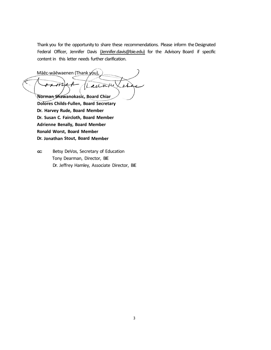Thank you for the opportunity to share these recommendations. Please inform the Designated Federal Officer, Jennifer Davis (Jennifer.davis@bie.edu) for the Advisory Board if specific content in this letter needs further clarification.

Māēc-wāēwaenen (Thank you), oА ess **Norman Shawanokasic, Board Chiar Dolores Childs-Fullen, Board Secretary Dr. Harvey Rude, Board Member Dr. Susan C. Faircloth, Board Member** 

**Adrienne Benally, Board Member Ronald Worst, Board Member Dr. Jonathan Stout, Board Member** 

**cc:** Betsy DeVos, Secretary of Education Tony Dearman, Director, BIE Dr. Jeffrey Hamley, Associate Director, BIE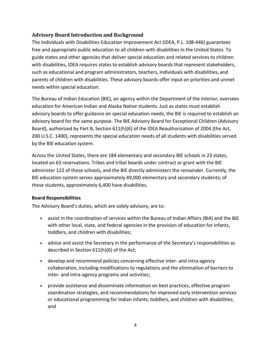#### **Advisory Board Introduction and Background**

The Individuals with Disabilities Education Improvement Act (IDEA, P.L. 108-446) guarantees free and appropriate public education to all children with disabilities in the United States. To guide states and other agencies that deliver special education and related services to children with disabilities, IDEA requires states to establish advisory boards that represent stakeholders, such as educational and program administrators, teachers, individuals with disabilities, and parents of children with disabilities. These advisory boards offer input on priorities and unmet needs within special education.

The Bureau of Indian Education (BIE), an agency within the Department of the Interior, oversees education for American Indian and Alaska Native students. Just as states must establish advisory boards to offer guidance on special education needs, the BIE is required to establish an advisory board for the same purpose. The BIE Advisory Board for Exceptional Children (Advisory Board), authorized by Part B, Section 611(h)(6) of the IDEA Reauthorization of 2004 (the Act, 200 U.S.C. 1400), represents the special education needs of all students with disabilities served by the BIE education system.

Across the United States, there are 184 elementary and secondary BIE schools in 23 states, located on 63 reservations. Tribes and tribal boards under contract or grant with the BIE administer 122 of these schools, and the BIE directly administers the remainder. Currently, the BIE education system serves approximately 49,000 elementary and secondary students; of these students, approximately 6,400 have disabilities.

#### **Board Responsibilities**

The Advisory Board's duties, which are solely advisory, are to:

- assist in the coordination of services within the Bureau of Indian Affairs (BIA) and the BIE with other local, state, and federal agencies in the provision of education for infants, toddlers, and children with disabilities;
- advise and assist the Secretary in the performance of the Secretary's responsibilities as described in Section 611(h)(6) of the Act;
- develop and recommend policies concerning effective inter- and intra-agency collaboration, including modifications to regulations and the elimination of barriers to inter- and intra-agency programs and activities;
- provide assistance and disseminate information on best practices, effective program coordination strategies, and recommendations for improved early intervention services or educational programming for Indian infants, toddlers, and children with disabilities; and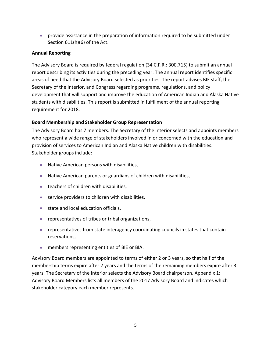• provide assistance in the preparation of information required to be submitted under Section 611(h)(6) of the Act.

#### **Annual Reporting**

The Advisory Board is required by federal regulation (34 C.F.R.: 300.715) to submit an annual report describing its activities during the preceding year. The annual report identifies specific areas of need that the Advisory Board selected as priorities. The report advises BIE staff, the Secretary of the Interior, and Congress regarding programs, regulations, and policy development that will support and improve the education of American Indian and Alaska Native students with disabilities. This report is submitted in fulfillment of the annual reporting requirement for 2018.

#### **Board Membership and Stakeholder Group Representation**

The Advisory Board has 7 members. The Secretary of the Interior selects and appoints members who represent a wide range of stakeholders involved in or concerned with the education and provision of services to American Indian and Alaska Native children with disabilities. Stakeholder groups include:

- Native American persons with disabilities,
- Native American parents or guardians of children with disabilities,
- teachers of children with disabilities,
- service providers to children with disabilities,
- state and local education officials,
- representatives of tribes or tribal organizations,
- representatives from state interagency coordinating councils in states that contain reservations,
- members representing entities of BIE or BIA.

Advisory Board members are appointed to terms of either 2 or 3 years, so that half of the membership terms expire after 2 years and the terms of the remaining members expire after 3 years. The Secretary of the Interior selects the Advisory Board chairperson. Appendix 1: Advisory Board Members lists all members of the 2017 Advisory Board and indicates which stakeholder category each member represents.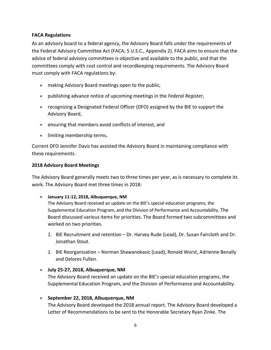#### **FACA Regulations**

As an advisory board to a federal agency, the Advisory Board falls under the requirements of the Federal Advisory Committee Act (FACA; 5 U.S.C., Appendix 2). FACA aims to ensure that the advice of federal advisory committees is objective and available to the public, and that the committees comply with cost control and recordkeeping requirements. The Advisory Board must comply with FACA regulations by:

- making Advisory Board meetings open to the public,
- publishing advance notice of upcoming meetings in the *Federal Register*,
- recognizing a Designated Federal Officer (DFO) assigned by the BIE to support the Advisory Board,
- ensuring that members avoid conflicts of interest, and
- limiting membership terms.

Current DFO Jennifer Davis has assisted the Advisory Board in maintaining compliance with these requirements.

#### **2018 Advisory Board Meetings**

The Advisory Board generally meets two to three times per year, as is necessary to complete its work. The Advisory Board met three times in 2018:

• **January 11-12, 2018, Albuquerque, NM**

The Advisory Board received an update on the BIE's special education programs, the Supplemental Education Program, and the Division of Performance and Accountability. The Board discussed various items for priorities. The Board formed two subcommittees and worked on two priorities.

- 1. BIE Recruitment and retention Dr. Harvey Rude (Lead), Dr. Susan Faircloth and Dr. Jonathan Stout.
- 2. BIE Reorganization Norman Shawanokasic (Lead), Ronald Worst, Adrienne Benally and Delores Fullen.

#### • **July 25-27, 2018, Albuquerque, NM**

The Advisory Board received an update on the BIE's special education programs, the Supplemental Education Program, and the Division of Performance and Accountability.

#### • **September 22, 2018, Albuquerque, NM**

The Advisory Board developed the 2018 annual report. The Advisory Board developed a Letter of Recommendations to be sent to the Honorable Secretary Ryan Zinke. The